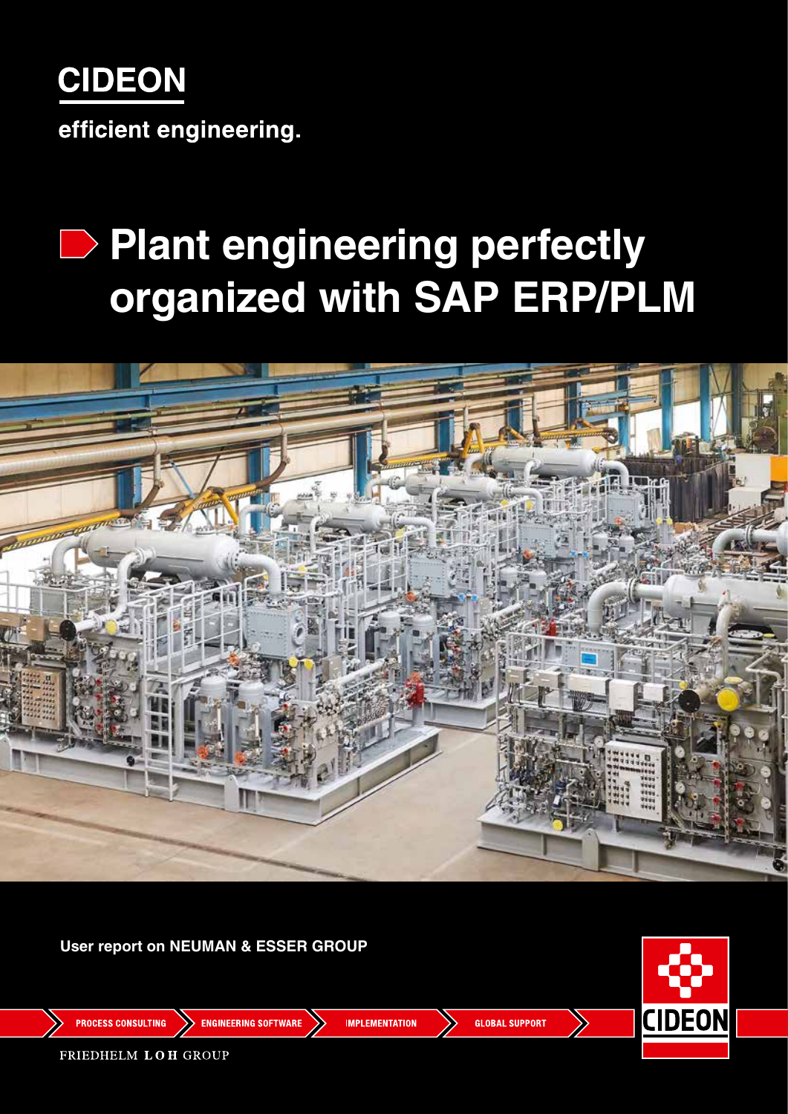

efficient engineering.

# **Plant engineering perfectly organized with SAP ERP/PLM**



**User report on NEUMAN & ESSER GROUP**



**PROCESS CONSULTING** 

**ENGINEERING SOFTWARE** 

**IMPLEMENTATION** 

**GLOBAL SUPPORT** 

FRIEDHELM LOH GROUP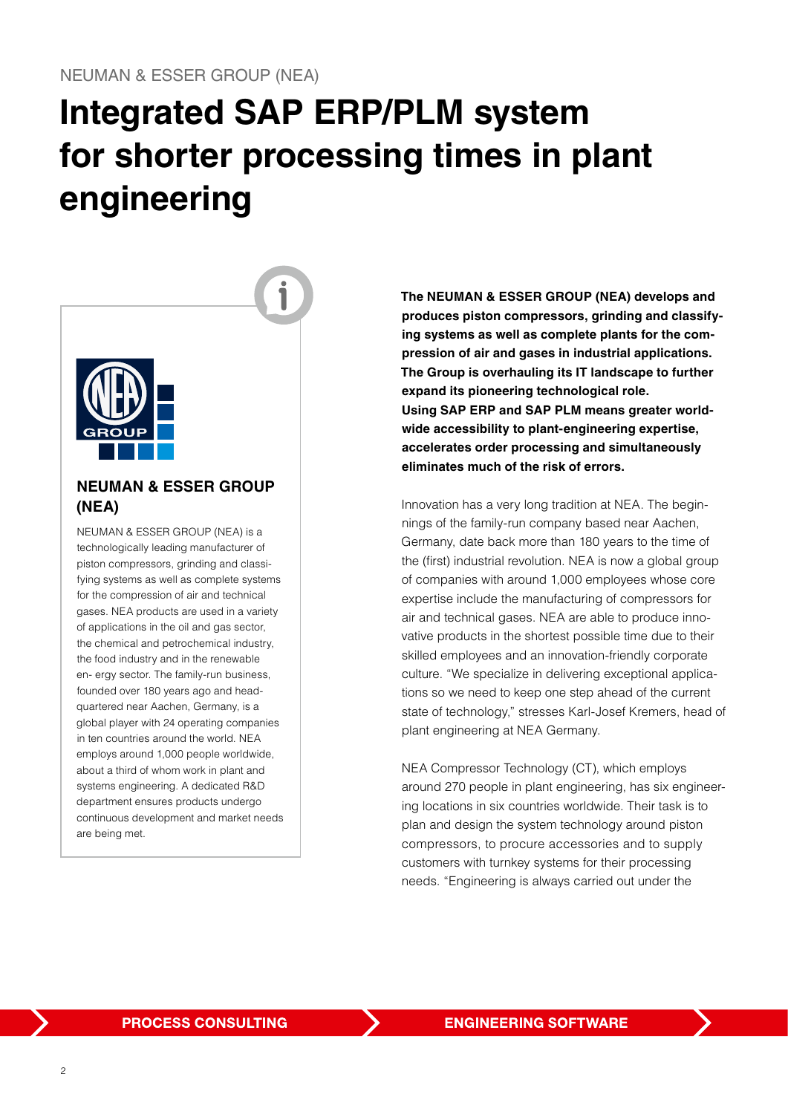## **Integrated SAP ERP/PLM system for shorter processing times in plant engineering**



### **NEUMAN & ESSER GROUP (NEA)**

NEUMAN & ESSER GROUP (NEA) is a technologically leading manufacturer of piston compressors, grinding and classifying systems as well as complete systems for the compression of air and technical gases. NEA products are used in a variety of applications in the oil and gas sector, the chemical and petrochemical industry, the food industry and in the renewable en- ergy sector. The family-run business, founded over 180 years ago and headquartered near Aachen, Germany, is a global player with 24 operating companies in ten countries around the world. NEA employs around 1,000 people worldwide, about a third of whom work in plant and systems engineering. A dedicated R&D department ensures products undergo continuous development and market needs are being met.

**The NEUMAN & ESSER GROUP (NEA) develops and produces piston compressors, grinding and classifying systems as well as complete plants for the compression of air and gases in industrial applications. The Group is overhauling its IT landscape to further expand its pioneering technological role. Using SAP ERP and SAP PLM means greater worldwide accessibility to plant-engineering expertise, accelerates order processing and simultaneously eliminates much of the risk of errors.**

Innovation has a very long tradition at NEA. The beginnings of the family-run company based near Aachen, Germany, date back more than 180 years to the time of the (first) industrial revolution. NEA is now a global group of companies with around 1,000 employees whose core expertise include the manufacturing of compressors for air and technical gases. NEA are able to produce innovative products in the shortest possible time due to their skilled employees and an innovation-friendly corporate culture. "We specialize in delivering exceptional applications so we need to keep one step ahead of the current state of technology," stresses Karl-Josef Kremers, head of plant engineering at NEA Germany.

NEA Compressor Technology (CT), which employs around 270 people in plant engineering, has six engineering locations in six countries worldwide. Their task is to plan and design the system technology around piston compressors, to procure accessories and to supply customers with turnkey systems for their processing needs. "Engineering is always carried out under the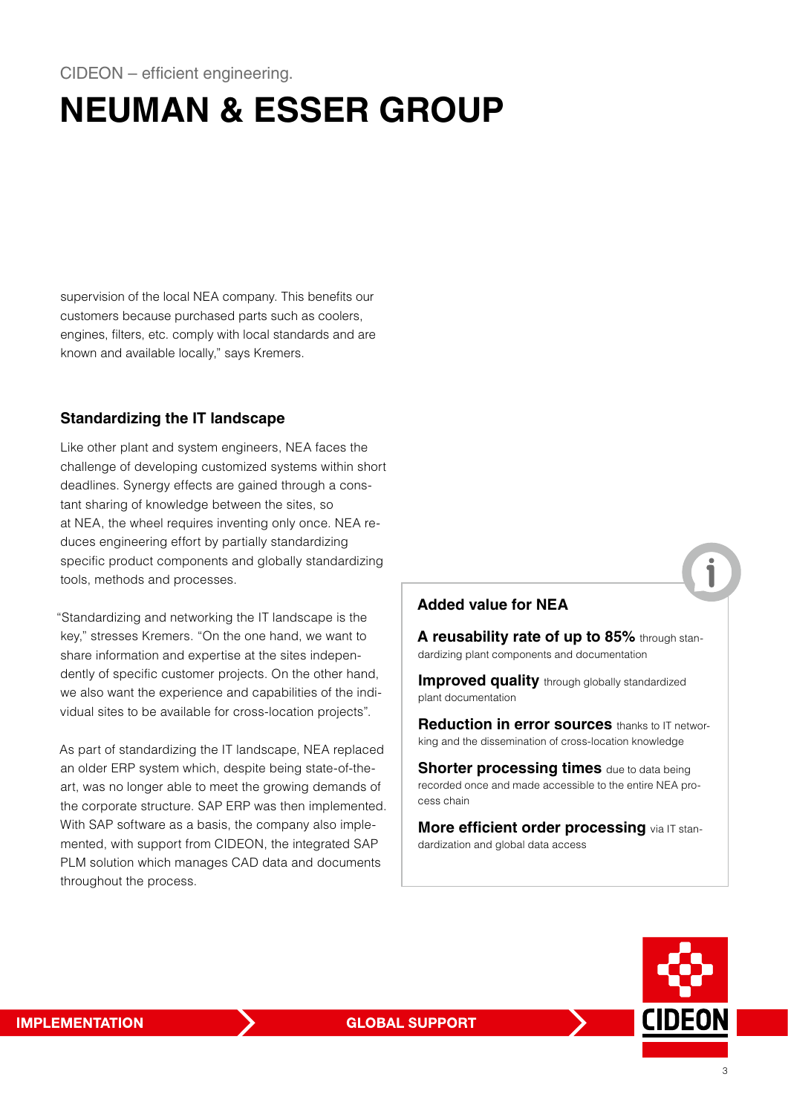## **NEUMAN & ESSER GROUP**

supervision of the local NEA company. This benefits our customers because purchased parts such as coolers, engines, filters, etc. comply with local standards and are known and available locally," says Kremers.

### **Standardizing the IT landscape**

Like other plant and system engineers, NEA faces the challenge of developing customized systems within short deadlines. Synergy effects are gained through a constant sharing of knowledge between the sites, so at NEA, the wheel requires inventing only once. NEA reduces engineering effort by partially standardizing specific product components and globally standardizing tools, methods and processes.

"Standardizing and networking the IT landscape is the key," stresses Kremers. "On the one hand, we want to share information and expertise at the sites independently of specific customer projects. On the other hand, we also want the experience and capabilities of the individual sites to be available for cross-location projects".

As part of standardizing the IT landscape, NEA replaced an older ERP system which, despite being state-of-theart, was no longer able to meet the growing demands of the corporate structure. SAP ERP was then implemented. With SAP software as a basis, the company also implemented, with support from CIDEON, the integrated SAP PLM solution which manages CAD data and documents throughout the process.

### **Added value for NEA**

**A reusability rate of up to 85%** through standardizing plant components and documentation

**Improved quality** through globally standardized plant documentation

**Reduction in error sources** thanks to IT networking and the dissemination of cross-location knowledge

**Shorter processing times** due to data being recorded once and made accessible to the entire NEA process chain

**More efficient order processing** via IT standardization and global data access

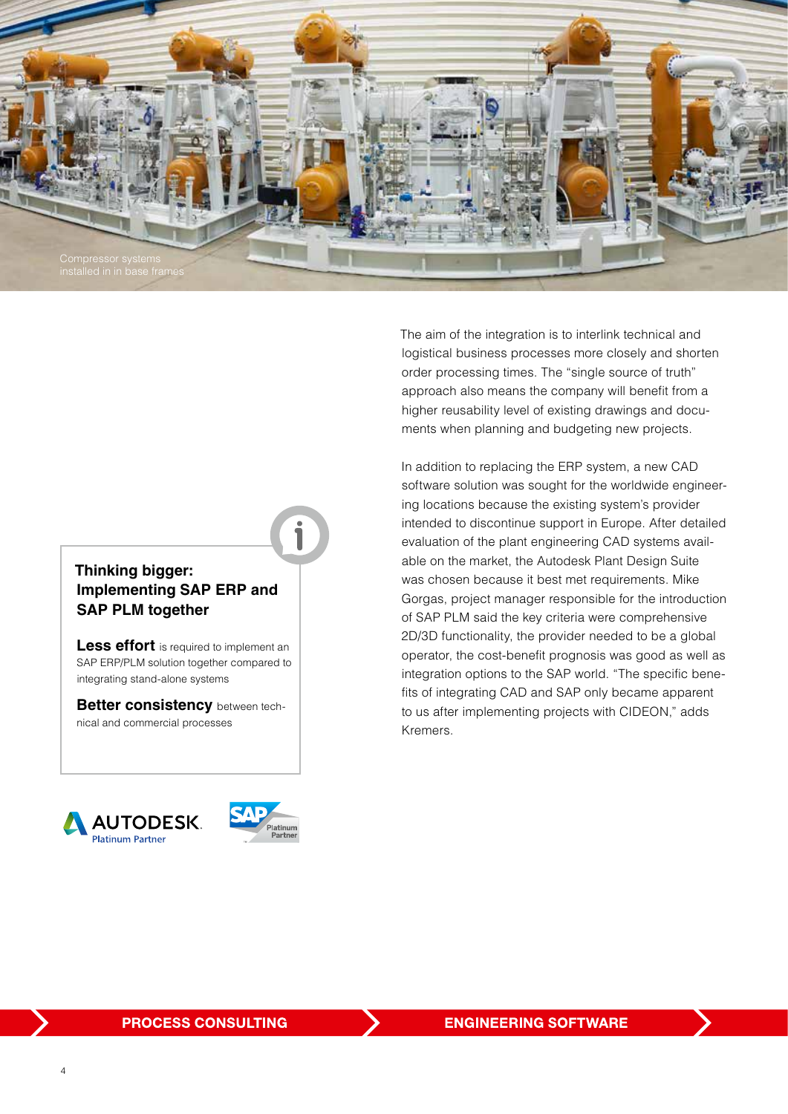

## **Thinking bigger: Implementing SAP ERP and SAP PLM together**

**Less effort** is required to implement an SAP ERP/PLM solution together compared to integrating stand-alone systems

**Better consistency** between technical and commercial processes





The aim of the integration is to interlink technical and logistical business processes more closely and shorten order processing times. The "single source of truth" approach also means the company will benefit from a higher reusability level of existing drawings and documents when planning and budgeting new projects.

In addition to replacing the ERP system, a new CAD software solution was sought for the worldwide engineering locations because the existing system's provider intended to discontinue support in Europe. After detailed evaluation of the plant engineering CAD systems available on the market, the Autodesk Plant Design Suite was chosen because it best met requirements. Mike Gorgas, project manager responsible for the introduction of SAP PLM said the key criteria were comprehensive 2D/3D functionality, the provider needed to be a global operator, the cost-benefit prognosis was good as well as integration options to the SAP world. "The specific benefits of integrating CAD and SAP only became apparent to us after implementing projects with CIDEON," adds Kremers.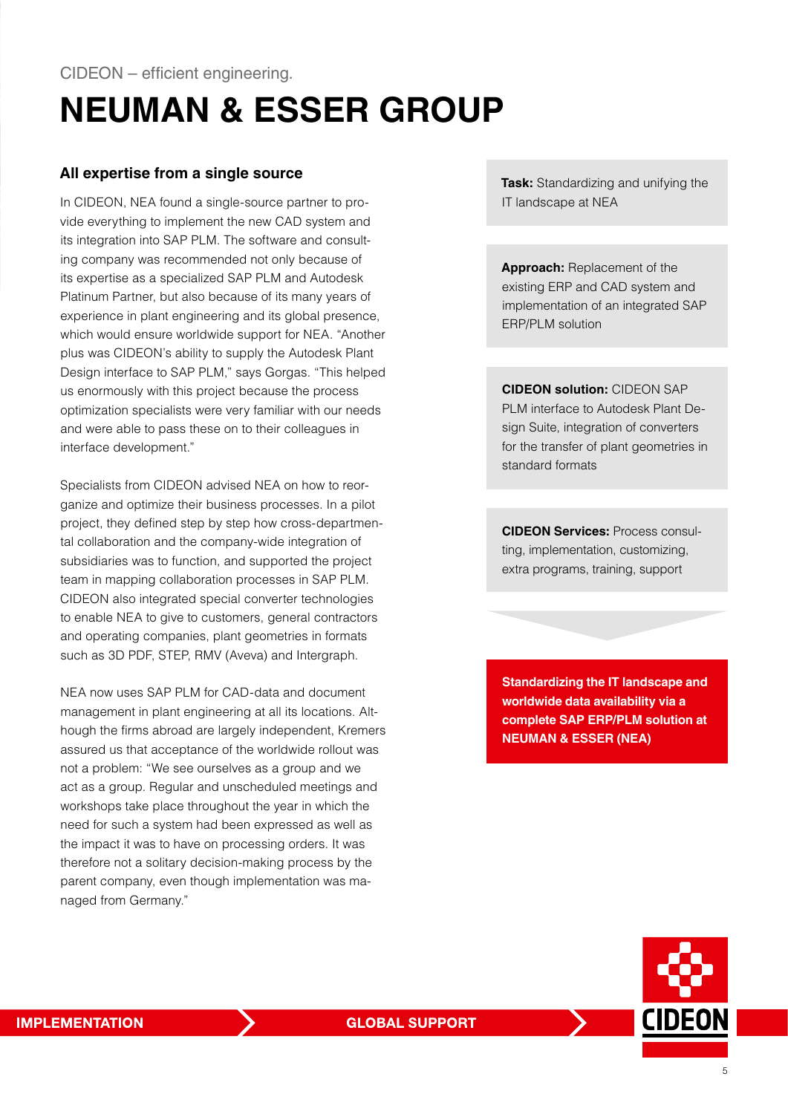## **NEUMAN & ESSER GROUP**

#### **All expertise from a single source**

In CIDEON, NEA found a single-source partner to provide everything to implement the new CAD system and its integration into SAP PLM. The software and consulting company was recommended not only because of its expertise as a specialized SAP PLM and Autodesk Platinum Partner, but also because of its many years of experience in plant engineering and its global presence, which would ensure worldwide support for NEA. "Another plus was CIDEON's ability to supply the Autodesk Plant Design interface to SAP PLM," says Gorgas. "This helped us enormously with this project because the process optimization specialists were very familiar with our needs and were able to pass these on to their colleagues in interface development."

Specialists from CIDEON advised NEA on how to reorganize and optimize their business processes. In a pilot project, they defined step by step how cross-departmental collaboration and the company-wide integration of subsidiaries was to function, and supported the project team in mapping collaboration processes in SAP PLM. CIDEON also integrated special converter technologies to enable NEA to give to customers, general contractors and operating companies, plant geometries in formats such as 3D PDF, STEP, RMV (Aveva) and Intergraph.

NEA now uses SAP PLM for CAD-data and document management in plant engineering at all its locations. Although the firms abroad are largely independent, Kremers assured us that acceptance of the worldwide rollout was not a problem: "We see ourselves as a group and we act as a group. Regular and unscheduled meetings and workshops take place throughout the year in which the need for such a system had been expressed as well as the impact it was to have on processing orders. It was therefore not a solitary decision-making process by the parent company, even though implementation was managed from Germany."

**Task:** Standardizing and unifying the IT landscape at NEA

**Approach:** Replacement of the existing ERP and CAD system and implementation of an integrated SAP ERP/PLM solution

**CIDEON solution:** CIDEON SAP PLM interface to Autodesk Plant Design Suite, integration of converters for the transfer of plant geometries in standard formats

**CIDEON Services:** Process consulting, implementation, customizing, extra programs, training, support

**Standardizing the IT landscape and worldwide data availability via a complete SAP ERP/PLM solution at NEUMAN & ESSER (NEA)**

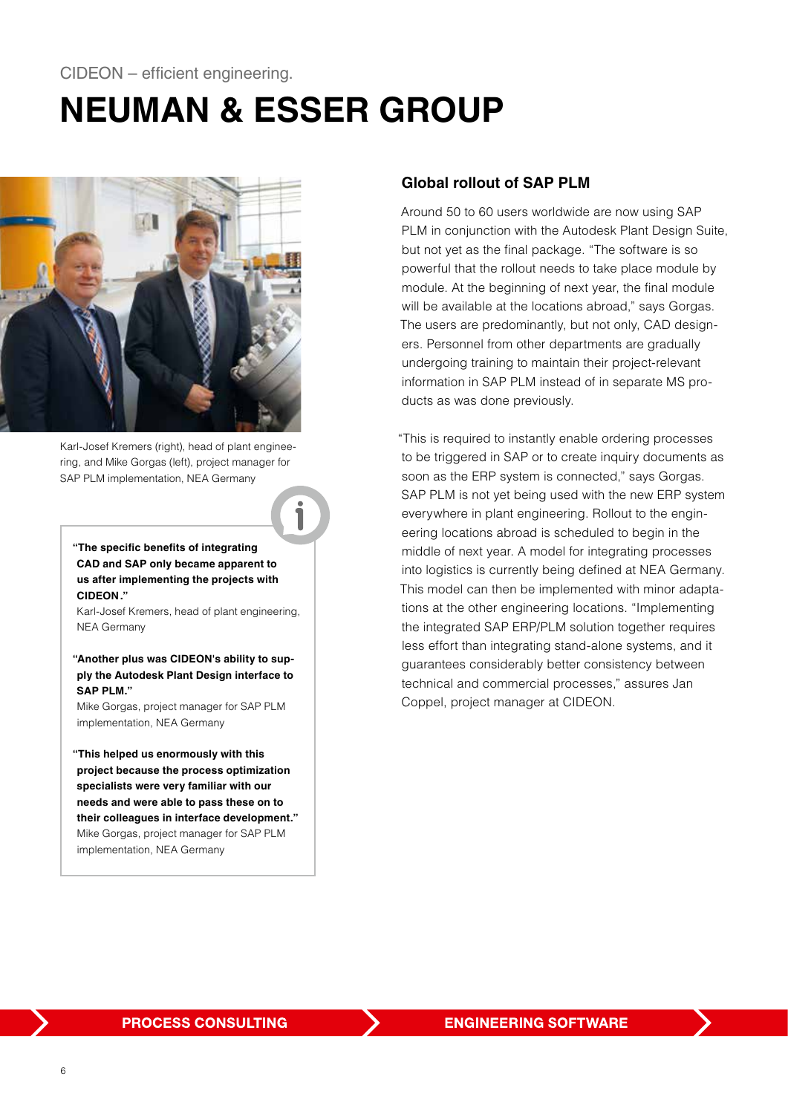### CIDEON – efficient engineering.

## **NEUMAN & ESSER GROUP**



Karl-Josef Kremers (right), head of plant engineering, and Mike Gorgas (left), project manager for SAP PLM implementation, NEA Germany

**"The specific benefits of integrating CAD and SAP only became apparent to us after implementing the projects with CIDEON."**

Karl-Josef Kremers, head of plant engineering, NEA Germany

**"Another plus was CIDEON's ability to supply the Autodesk Plant Design interface to SAP PLM."**

Mike Gorgas, project manager for SAP PLM implementation, NEA Germany

**"This helped us enormously with this project because the process optimization specialists were very familiar with our needs and were able to pass these on to their colleagues in interface development."** Mike Gorgas, project manager for SAP PLM implementation, NEA Germany

#### **Global rollout of SAP PLM**

Around 50 to 60 users worldwide are now using SAP PLM in conjunction with the Autodesk Plant Design Suite, but not yet as the final package. "The software is so powerful that the rollout needs to take place module by module. At the beginning of next year, the final module will be available at the locations abroad," says Gorgas. The users are predominantly, but not only, CAD designers. Personnel from other departments are gradually undergoing training to maintain their project-relevant information in SAP PLM instead of in separate MS products as was done previously.

"This is required to instantly enable ordering processes to be triggered in SAP or to create inquiry documents as soon as the ERP system is connected," says Gorgas. SAP PLM is not yet being used with the new ERP system everywhere in plant engineering. Rollout to the engineering locations abroad is scheduled to begin in the middle of next year. A model for integrating processes into logistics is currently being defined at NEA Germany. This model can then be implemented with minor adaptations at the other engineering locations. "Implementing the integrated SAP ERP/PLM solution together requires less effort than integrating stand-alone systems, and it guarantees considerably better consistency between technical and commercial processes," assures Jan Coppel, project manager at CIDEON.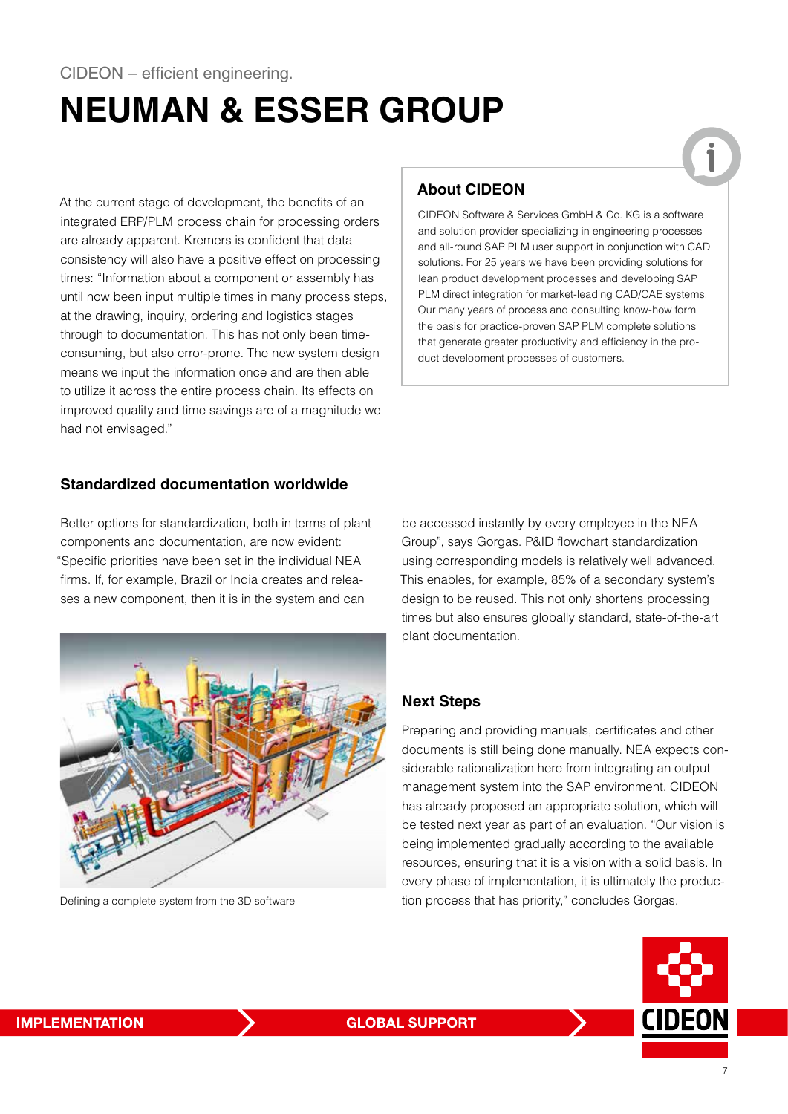## **NEUMAN & ESSER GROUP**

At the current stage of development, the benefits of an integrated ERP/PLM process chain for processing orders are already apparent. Kremers is confident that data consistency will also have a positive effect on processing times: "Information about a component or assembly has until now been input multiple times in many process steps, at the drawing, inquiry, ordering and logistics stages through to documentation. This has not only been timeconsuming, but also error-prone. The new system design means we input the information once and are then able to utilize it across the entire process chain. Its effects on improved quality and time savings are of a magnitude we had not envisaged."

### **About CIDEON**

CIDEON Software & Services GmbH & Co. KG is a software and solution provider specializing in engineering processes and all-round SAP PLM user support in conjunction with CAD solutions. For 25 years we have been providing solutions for lean product development processes and developing SAP PLM direct integration for market-leading CAD/CAE systems. Our many years of process and consulting know-how form the basis for practice-proven SAP PLM complete solutions that generate greater productivity and efficiency in the product development processes of customers.

### **Standardized documentation worldwide**

Better options for standardization, both in terms of plant components and documentation, are now evident: "Specific priorities have been set in the individual NEA firms. If, for example, Brazil or India creates and releases a new component, then it is in the system and can



Defining a complete system from the 3D software

be accessed instantly by every employee in the NEA Group", says Gorgas. P&ID flowchart standardization using corresponding models is relatively well advanced. This enables, for example, 85% of a secondary system's design to be reused. This not only shortens processing times but also ensures globally standard, state-of-the-art plant documentation.

#### **Next Steps**

Preparing and providing manuals, certificates and other documents is still being done manually. NEA expects considerable rationalization here from integrating an output management system into the SAP environment. CIDEON has already proposed an appropriate solution, which will be tested next year as part of an evaluation. "Our vision is being implemented gradually according to the available resources, ensuring that it is a vision with a solid basis. In every phase of implementation, it is ultimately the production process that has priority," concludes Gorgas.